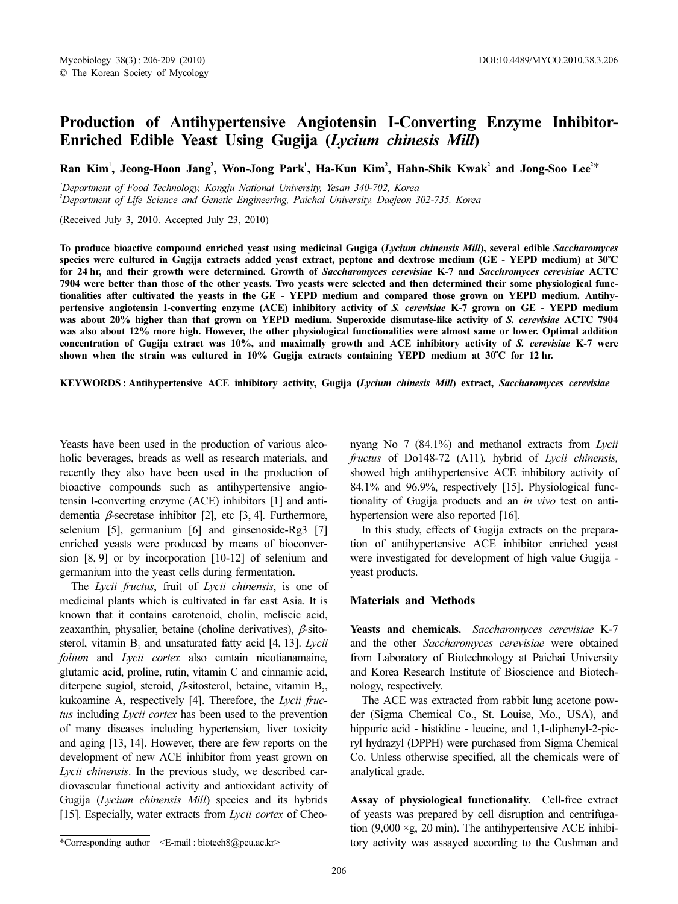## Production of Antihypertensive Angiotensin I-Converting Enzyme Inhibitor-Enriched Edible Yeast Using Gugija (Lycium chinesis Mill)

Ran Kim', Jeong-Hoon Jang', Won-Jong Park', Ha-Kun Kim', Hahn-Shik Kwak' and Jong-Soo Lee<sup>2</sup>

1 Department of Food Technology, Kongju National University, Yesan 340-702, Korea 2 Department of Life Science and Genetic Engineering, Paichai University, Daejeon 302-735, Korea

(Received July 3, 2010. Accepted July 23, 2010)

To produce bioactive compound enriched yeast using medicinal Gugiga (Lycium chinensis Mill), several edible Saccharomyces species were cultured in Gugija extracts added yeast extract, peptone and dextrose medium (GE - YEPD medium) at  $30^{\circ}\rm{C}$ for 24 hr, and their growth were determined. Growth of Saccharomyces cerevisiae K-7 and Sacchromyces cerevisiae ACTC 7904 were better than those of the other yeasts. Two yeasts were selected and then determined their some physiological functionalities after cultivated the yeasts in the GE - YEPD medium and compared those grown on YEPD medium. Antihypertensive angiotensin I-converting enzyme (ACE) inhibitory activity of S. cerevisiae K-7 grown on GE - YEPD medium was about 20% higher than that grown on YEPD medium. Superoxide dismutase-like activity of S. cerevisiae ACTC 7904 was also about 12% more high. However, the other physiological functionalities were almost same or lower. Optimal addition concentration of Gugija extract was 10%, and maximally growth and ACE inhibitory activity of S. cerevisiae K-7 were shown when the strain was cultured in 10% Gugija extracts containing YEPD medium at 30°C for 12 hr.

KEYWORDS : Antihypertensive ACE inhibitory activity, Gugija (Lycium chinesis Mill) extract, Saccharomyces cerevisiae

Yeasts have been used in the production of various alcoholic beverages, breads as well as research materials, and recently they also have been used in the production of bioactive compounds such as antihypertensive angiotensin I-converting enzyme (ACE) inhibitors [1] and antidementia β-secretase inhibitor [2], etc [3, 4]. Furthermore, selenium [5], germanium [6] and ginsenoside-Rg3 [7] enriched yeasts were produced by means of bioconversion [8, 9] or by incorporation [10-12] of selenium and germanium into the yeast cells during fermentation.

The Lycii fructus, fruit of Lycii chinensis, is one of medicinal plants which is cultivated in far east Asia. It is known that it contains carotenoid, cholin, meliscic acid, zeaxanthin, physalier, betaine (choline derivatives),  $\beta$ -sitosterol, vitamin  $B_1$  and unsaturated fatty acid [4, 13]. Lycii folium and Lycii cortex also contain nicotianamaine, glutamic acid, proline, rutin, vitamin C and cinnamic acid, diterpene sugiol, steroid,  $\beta$ -sitosterol, betaine, vitamin B<sub>2</sub>, kukoamine A, respectively [4]. Therefore, the Lycii fructus including Lycii cortex has been used to the prevention of many diseases including hypertension, liver toxicity and aging [13, 14]. However, there are few reports on the development of new ACE inhibitor from yeast grown on Lycii chinensis. In the previous study, we described cardiovascular functional activity and antioxidant activity of Gugija (Lycium chinensis Mill) species and its hybrids [15]. Especially, water extracts from Lycii cortex of Cheo-

nyang No 7 (84.1%) and methanol extracts from Lycii fructus of Do148-72 (A11), hybrid of Lycii chinensis, showed high antihypertensive ACE inhibitory activity of 84.1% and 96.9%, respectively [15]. Physiological functionality of Gugija products and an in vivo test on antihypertension were also reported [16].

In this study, effects of Gugija extracts on the preparation of antihypertensive ACE inhibitor enriched yeast were investigated for development of high value Gugija yeast products.

## Materials and Methods

Yeasts and chemicals. Saccharomyces cerevisiae K-7 and the other Saccharomyces cerevisiae were obtained from Laboratory of Biotechnology at Paichai University and Korea Research Institute of Bioscience and Biotechnology, respectively.

The ACE was extracted from rabbit lung acetone powder (Sigma Chemical Co., St. Louise, Mo., USA), and hippuric acid - histidine - leucine, and 1,1-diphenyl-2-picryl hydrazyl (DPPH) were purchased from Sigma Chemical Co. Unless otherwise specified, all the chemicals were of analytical grade.

Assay of physiological functionality. Cell-free extract of yeasts was prepared by cell disruption and centrifugation (9,000  $\times$ g, 20 min). The antihypertensive ACE inhibi-\*Corresponding author <E-mail : biotech8@pcu.ac.kr> tory activity was assayed according to the Cushman and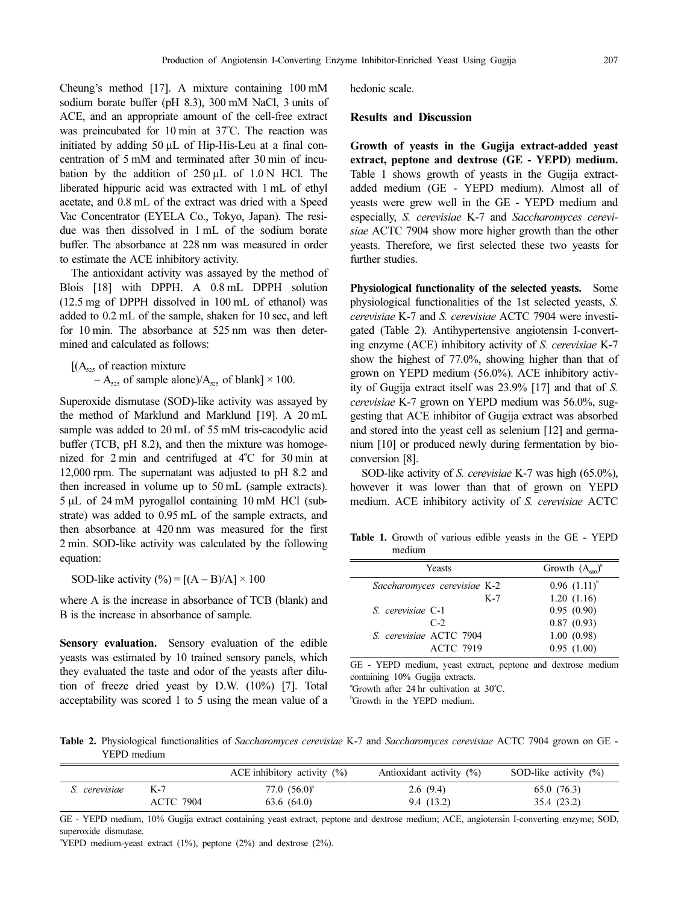Cheung's method [17]. A mixture containing 100 mM sodium borate buffer (pH 8.3), 300 mM NaCl, 3 units of ACE, and an appropriate amount of the cell-free extract was preincubated for  $10 \text{ min}$  at  $37^{\circ}$ C. The reaction was initiated by adding 50 µL of Hip-His-Leu at a final concentration of 5 mM and terminated after 30 min of incubation by the addition of  $250 \mu L$  of  $1.0 N$  HCl. The liberated hippuric acid was extracted with 1 mL of ethyl acetate, and 0.8 mL of the extract was dried with a Speed Vac Concentrator (EYELA Co., Tokyo, Japan). The residue was then dissolved in 1 mL of the sodium borate buffer. The absorbance at 228 nm was measured in order to estimate the ACE inhibitory activity.

The antioxidant activity was assayed by the method of Blois [18] with DPPH. A 0.8 mL DPPH solution (12.5 mg of DPPH dissolved in 100 mL of ethanol) was added to 0.2 mL of the sample, shaken for 10 sec, and left for 10 min. The absorbance at 525 nm was then determined and calculated as follows:

 $[(A<sub>525</sub> of reaction mixture]$ 

 $-A_{525}$  of sample alone)/ $A_{525}$  of blank] × 100.

Superoxide dismutase (SOD)-like activity was assayed by the method of Marklund and Marklund [19]. A 20 mL sample was added to 20 mL of 55 mM tris-cacodylic acid buffer (TCB, pH 8.2), and then the mixture was homogenized for  $2 \text{ min}$  and centrifuged at  $4^{\circ}$ C for  $30 \text{ min}$  at 12,000 rpm. The supernatant was adjusted to pH 8.2 and then increased in volume up to 50 mL (sample extracts). 5 µL of 24 mM pyrogallol containing 10 mM HCl (substrate) was added to 0.95 mL of the sample extracts, and then absorbance at 420 nm was measured for the first 2 min. SOD-like activity was calculated by the following equation:

SOD-like activity  $(\%)=[(A - B)/A] \times 100$ 

where A is the increase in absorbance of TCB (blank) and B is the increase in absorbance of sample.

Sensory evaluation. Sensory evaluation of the edible yeasts was estimated by 10 trained sensory panels, which they evaluated the taste and odor of the yeasts after dilution of freeze dried yeast by D.W. (10%) [7]. Total acceptability was scored 1 to 5 using the mean value of a

hedonic scale.

## Results and Discussion

Growth of yeasts in the Gugija extract-added yeast extract, peptone and dextrose (GE - YEPD) medium. Table 1 shows growth of yeasts in the Gugija extractadded medium (GE - YEPD medium). Almost all of yeasts were grew well in the GE - YEPD medium and especially, S. cerevisiae K-7 and Saccharomyces cerevisiae ACTC 7904 show more higher growth than the other yeasts. Therefore, we first selected these two yeasts for further studies.

Physiological functionality of the selected yeasts. Some physiological functionalities of the 1st selected yeasts, S. cerevisiae K-7 and S. cerevisiae ACTC 7904 were investigated (Table 2). Antihypertensive angiotensin I-converting enzyme (ACE) inhibitory activity of S. cerevisiae K-7 show the highest of 77.0%, showing higher than that of grown on YEPD medium (56.0%). ACE inhibitory activity of Gugija extract itself was 23.9% [17] and that of S. cerevisiae K-7 grown on YEPD medium was 56.0%, suggesting that ACE inhibitor of Gugija extract was absorbed and stored into the yeast cell as selenium [12] and germanium [10] or produced newly during fermentation by bioconversion [8].

SOD-like activity of S. cerevisiae K-7 was high (65.0%), however it was lower than that of grown on YEPD medium. ACE inhibitory activity of S. cerevisiae ACTC

Table 1. Growth of various edible yeasts in the GE - YEPD medium

| Yeasts                       | Growth $(A_{60})^3$ |
|------------------------------|---------------------|
| Saccharomyces cerevisiae K-2 | $0.96$ $(1.11)^{6}$ |
| $K-7$                        | 1.20(1.16)          |
| S. cerevisiae C-1            | 0.95(0.90)          |
| $C-2$                        | 0.87(0.93)          |
| S. cerevisiae ACTC 7904      | 1.00(0.98)          |
| <b>ACTC 7919</b>             | 0.95(1.00)          |
|                              |                     |

GE - YEPD medium, yeast extract, peptone and dextrose medium containing 10% Gugija extracts.

 $^{\circ}$ Growth after 24 hr cultivation at 30 $^{\circ}$ C.

b Growth in the YEPD medium.

Table 2. Physiological functionalities of Saccharomyces cerevisiae K-7 and Saccharomyces cerevisiae ACTC 7904 grown on GE -YEPD medium

|               |                  | ACE inhibitory activity $(\%)$ | Antioxidant activity (%) | SOD-like activity (%) |
|---------------|------------------|--------------------------------|--------------------------|-----------------------|
| S. cerevisiae | K-7              | $77.0~(56.0)^{4}$              | 2.6(9.4)                 | 65.0 (76.3)           |
|               | <b>ACTC 7904</b> | 63.6 (64.0)                    | 9.4(13.2)                | 35.4 (23.2)           |

GE - YEPD medium, 10% Gugija extract containing yeast extract, peptone and dextrose medium; ACE, angiotensin I-converting enzyme; SOD, superoxide dismutase.

a YEPD medium-yeast extract (1%), peptone (2%) and dextrose (2%).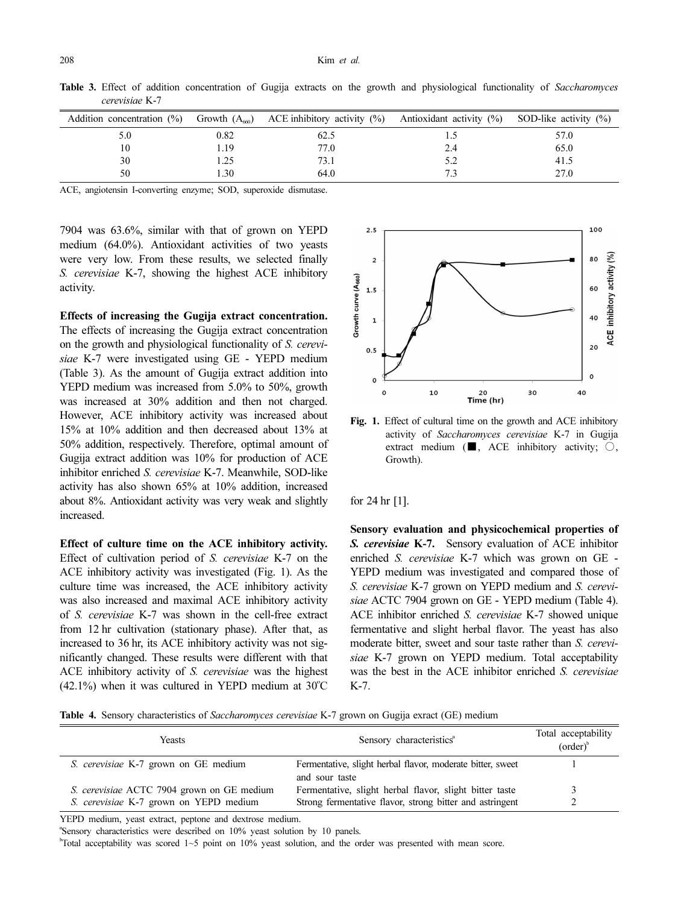|     |      | Addition concentration (%) Growth $(A_{60})$ ACE inhibitory activity (%) Antioxidant activity (%) SOD-like activity (%) |     |      |
|-----|------|-------------------------------------------------------------------------------------------------------------------------|-----|------|
| 5.0 | 0.82 | 62.5                                                                                                                    | 1.0 | 57.0 |
| 10  | 1.19 | 77.0                                                                                                                    | 2.4 | 65.0 |
| 30  | .25  | 73.1                                                                                                                    | 5.2 | 41.5 |
| 50  | .30  | 64.0                                                                                                                    |     | 27.0 |

Table 3. Effect of addition concentration of Gugija extracts on the growth and physiological functionality of Saccharomyces cerevisiae K-7

ACE, angiotensin I-converting enzyme; SOD, superoxide dismutase.

7904 was 63.6%, similar with that of grown on YEPD medium (64.0%). Antioxidant activities of two yeasts were very low. From these results, we selected finally S. cerevisiae K-7, showing the highest ACE inhibitory activity.

Effects of increasing the Gugija extract concentration. The effects of increasing the Gugija extract concentration on the growth and physiological functionality of S. cerevisiae K-7 were investigated using GE - YEPD medium (Table 3). As the amount of Gugija extract addition into YEPD medium was increased from 5.0% to 50%, growth was increased at 30% addition and then not charged. However, ACE inhibitory activity was increased about 15% at 10% addition and then decreased about 13% at 50% addition, respectively. Therefore, optimal amount of Gugija extract addition was 10% for production of ACE inhibitor enriched S. cerevisiae K-7. Meanwhile, SOD-like activity has also shown 65% at 10% addition, increased about 8%. Antioxidant activity was very weak and slightly increased.

Effect of culture time on the ACE inhibitory activity. Effect of cultivation period of S. cerevisiae K-7 on the ACE inhibitory activity was investigated (Fig. 1). As the culture time was increased, the ACE inhibitory activity was also increased and maximal ACE inhibitory activity of S. cerevisiae K-7 was shown in the cell-free extract from 12 hr cultivation (stationary phase). After that, as increased to 36 hr, its ACE inhibitory activity was not significantly changed. These results were different with that ACE inhibitory activity of S. cerevisiae was the highest  $(42.1%)$  when it was cultured in YEPD medium at 30°C



Fig. 1. Effect of cultural time on the growth and ACE inhibitory activity of Saccharomyces cerevisiae K-7 in Gugija extract medium ( $\blacksquare$ , ACE inhibitory activity;  $\bigcirc$ , Growth).

for 24 hr [1].

Sensory evaluation and physicochemical properties of S. cerevisiae K-7. Sensory evaluation of ACE inhibitor enriched S. cerevisiae K-7 which was grown on GE - YEPD medium was investigated and compared those of S. cerevisiae K-7 grown on YEPD medium and S. cerevisiae ACTC 7904 grown on GE - YEPD medium (Table 4). ACE inhibitor enriched S. cerevisiae K-7 showed unique fermentative and slight herbal flavor. The yeast has also moderate bitter, sweet and sour taste rather than S. cerevisiae K-7 grown on YEPD medium. Total acceptability was the best in the ACE inhibitor enriched S. cerevisiae K-7.

Table 4. Sensory characteristics of Saccharomyces cerevisiae K-7 grown on Gugija exract (GE) medium

| Yeasts                                            | Sensory characteristics <sup>a</sup>                                         | Total acceptability<br>$(order)$ <sup>b</sup> |
|---------------------------------------------------|------------------------------------------------------------------------------|-----------------------------------------------|
| S. cerevisiae K-7 grown on GE medium              | Fermentative, slight herbal flavor, moderate bitter, sweet<br>and sour taste |                                               |
| <i>S. cerevisiae</i> ACTC 7904 grown on GE medium | Fermentative, slight herbal flavor, slight bitter taste                      |                                               |
| S. cerevisiae K-7 grown on YEPD medium            | Strong fermentative flavor, strong bitter and astringent                     |                                               |

YEPD medium, yeast extract, peptone and dextrose medium.

a Sensory characteristics were described on 10% yeast solution by 10 panels.

b Total acceptability was scored 1~5 point on 10% yeast solution, and the order was presented with mean score.